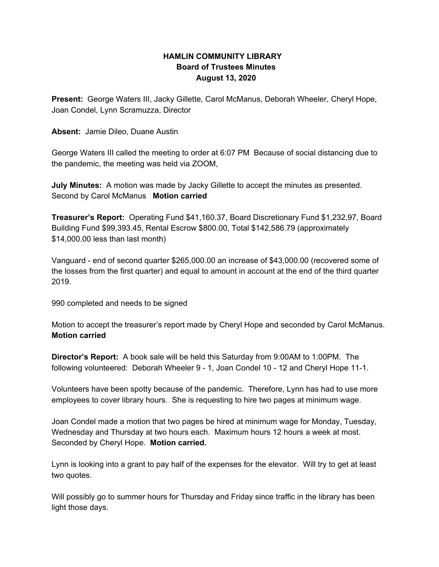## **HAMLIN COMMUNITY LIBRARY Board of Trustees Minutes August 13, 2020**

**Present:** George Waters III, Jacky Gillette, Carol McManus, Deborah Wheeler, Cheryl Hope, Joan Condel, Lynn Scramuzza, Director

**Absent:** Jamie Dileo, Duane Austin

George Waters III called the meeting to order at 6:07 PM Because of social distancing due to the pandemic, the meeting was held via ZOOM,

**July Minutes:** A motion was made by Jacky Gillette to accept the minutes as presented. Second by Carol McManus **Motion carried**

**Treasurer's Report:** Operating Fund \$41,160.37, Board Discretionary Fund \$1,232,97, Board Building Fund \$99,393.45, Rental Escrow \$800.00, Total \$142,586.79 (approximately \$14,000.00 less than last month)

Vanguard - end of second quarter \$265,000.00 an increase of \$43,000.00 (recovered some of the losses from the first quarter) and equal to amount in account at the end of the third quarter 2019.

990 completed and needs to be signed

Motion to accept the treasurer's report made by Cheryl Hope and seconded by Carol McManus. **Motion carried**

**Director's Report:** A book sale will be held this Saturday from 9:00AM to 1:00PM. The following volunteered: Deborah Wheeler 9 - 1, Joan Condel 10 - 12 and Cheryl Hope 11-1.

Volunteers have been spotty because of the pandemic. Therefore, Lynn has had to use more employees to cover library hours. She is requesting to hire two pages at minimum wage.

Joan Condel made a motion that two pages be hired at minimum wage for Monday, Tuesday, Wednesday and Thursday at two hours each. Maximum hours 12 hours a week at most. Seconded by Cheryl Hope. **Motion carried.**

Lynn is looking into a grant to pay half of the expenses for the elevator. Will try to get at least two quotes.

Will possibly go to summer hours for Thursday and Friday since traffic in the library has been light those days.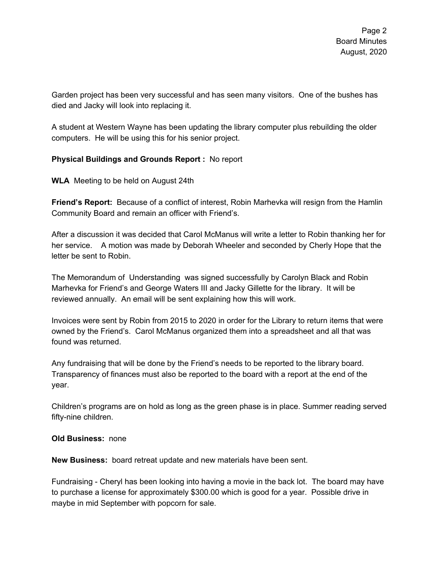Garden project has been very successful and has seen many visitors. One of the bushes has died and Jacky will look into replacing it.

A student at Western Wayne has been updating the library computer plus rebuilding the older computers. He will be using this for his senior project.

## **Physical Buildings and Grounds Report :** No report

**WLA** Meeting to be held on August 24th

**Friend's Report:** Because of a conflict of interest, Robin Marhevka will resign from the Hamlin Community Board and remain an officer with Friend's.

After a discussion it was decided that Carol McManus will write a letter to Robin thanking her for her service. A motion was made by Deborah Wheeler and seconded by Cherly Hope that the letter be sent to Robin.

The Memorandum of Understanding was signed successfully by Carolyn Black and Robin Marhevka for Friend's and George Waters III and Jacky Gillette for the library. It will be reviewed annually. An email will be sent explaining how this will work.

Invoices were sent by Robin from 2015 to 2020 in order for the Library to return items that were owned by the Friend's. Carol McManus organized them into a spreadsheet and all that was found was returned.

Any fundraising that will be done by the Friend's needs to be reported to the library board. Transparency of finances must also be reported to the board with a report at the end of the year.

Children's programs are on hold as long as the green phase is in place. Summer reading served fifty-nine children.

**Old Business:** none

**New Business:** board retreat update and new materials have been sent.

Fundraising - Cheryl has been looking into having a movie in the back lot. The board may have to purchase a license for approximately \$300.00 which is good for a year. Possible drive in maybe in mid September with popcorn for sale.